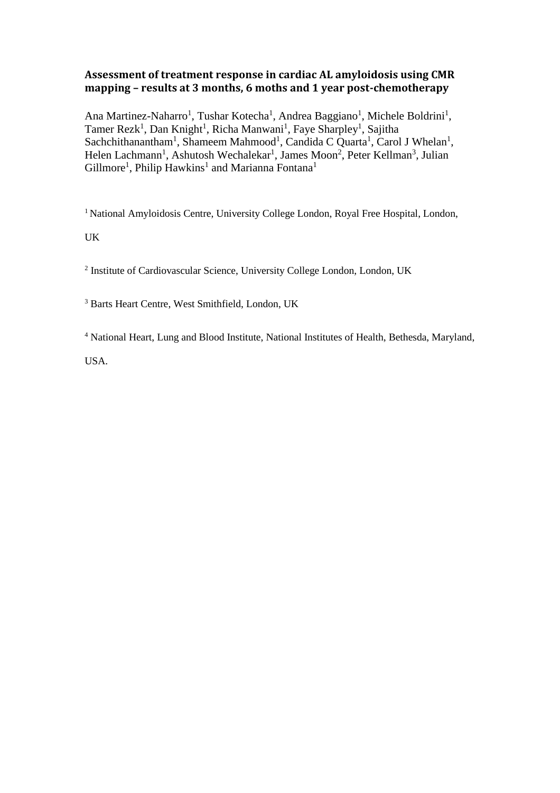# **Assessment of treatment response in cardiac AL amyloidosis using CMR mapping – results at 3 months, 6 moths and 1 year post-chemotherapy**

Ana Martinez-Naharro<sup>1</sup>, Tushar Kotecha<sup>1</sup>, Andrea Baggiano<sup>1</sup>, Michele Boldrini<sup>1</sup>, Tamer Rezk<sup>1</sup>, Dan Knight<sup>1</sup>, Richa Manwani<sup>1</sup>, Faye Sharpley<sup>1</sup>, Sajitha Sachchithanantham<sup>1</sup>, Shameem Mahmood<sup>1</sup>, Candida C Quarta<sup>1</sup>, Carol J Whelan<sup>1</sup>, Helen Lachmann<sup>1</sup>, Ashutosh Wechalekar<sup>1</sup>, James Moon<sup>2</sup>, Peter Kellman<sup>3</sup>, Julian Gillmore<sup>1</sup>, Philip Hawkins<sup>1</sup> and Marianna Fontana<sup>1</sup>

<sup>1</sup> National Amyloidosis Centre, University College London, Royal Free Hospital, London,

UK

<sup>2</sup> Institute of Cardiovascular Science, University College London, London, UK

<sup>3</sup> Barts Heart Centre, West Smithfield, London, UK

<sup>4</sup> National Heart, Lung and Blood Institute, National Institutes of Health, Bethesda, Maryland,

USA.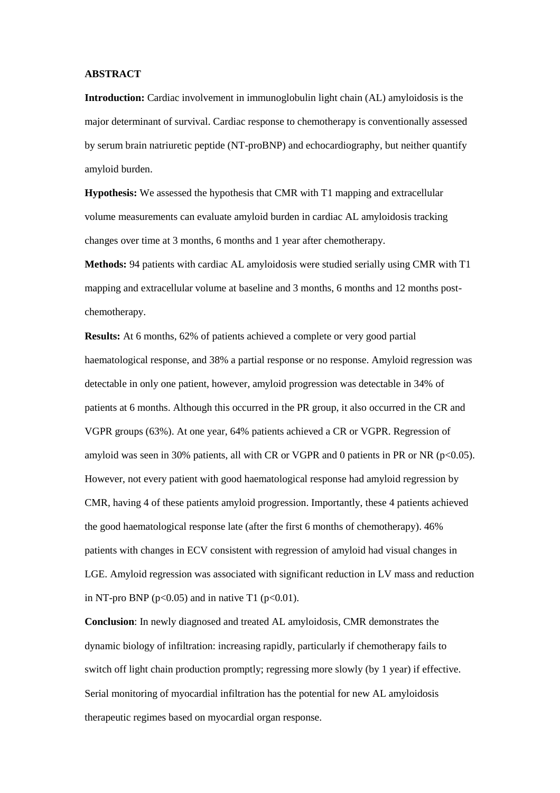#### **ABSTRACT**

**Introduction:** Cardiac involvement in immunoglobulin light chain (AL) amyloidosis is the major determinant of survival. Cardiac response to chemotherapy is conventionally assessed by serum brain natriuretic peptide (NT-proBNP) and echocardiography, but neither quantify amyloid burden.

**Hypothesis:** We assessed the hypothesis that CMR with T1 mapping and extracellular volume measurements can evaluate amyloid burden in cardiac AL amyloidosis tracking changes over time at 3 months, 6 months and 1 year after chemotherapy.

**Methods:** 94 patients with cardiac AL amyloidosis were studied serially using CMR with T1 mapping and extracellular volume at baseline and 3 months, 6 months and 12 months postchemotherapy.

**Results:** At 6 months, 62% of patients achieved a complete or very good partial haematological response, and 38% a partial response or no response. Amyloid regression was detectable in only one patient, however, amyloid progression was detectable in 34% of patients at 6 months. Although this occurred in the PR group, it also occurred in the CR and VGPR groups (63%). At one year, 64% patients achieved a CR or VGPR. Regression of amyloid was seen in 30% patients, all with CR or VGPR and 0 patients in PR or NR ( $p<0.05$ ). However, not every patient with good haematological response had amyloid regression by CMR, having 4 of these patients amyloid progression. Importantly, these 4 patients achieved the good haematological response late (after the first 6 months of chemotherapy). 46% patients with changes in ECV consistent with regression of amyloid had visual changes in LGE. Amyloid regression was associated with significant reduction in LV mass and reduction in NT-pro BNP ( $p<0.05$ ) and in native T1 ( $p<0.01$ ).

**Conclusion**: In newly diagnosed and treated AL amyloidosis, CMR demonstrates the dynamic biology of infiltration: increasing rapidly, particularly if chemotherapy fails to switch off light chain production promptly; regressing more slowly (by 1 year) if effective. Serial monitoring of myocardial infiltration has the potential for new AL amyloidosis therapeutic regimes based on myocardial organ response.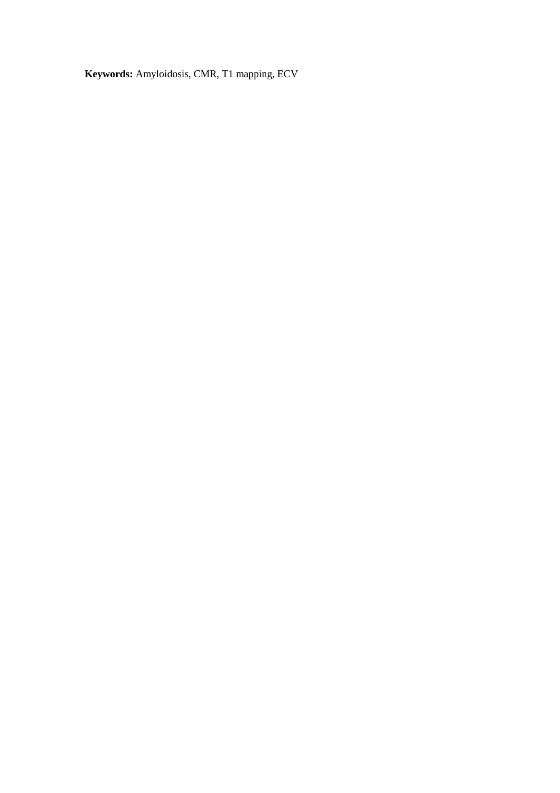**Keywords:** Amyloidosis, CMR, T1 mapping, ECV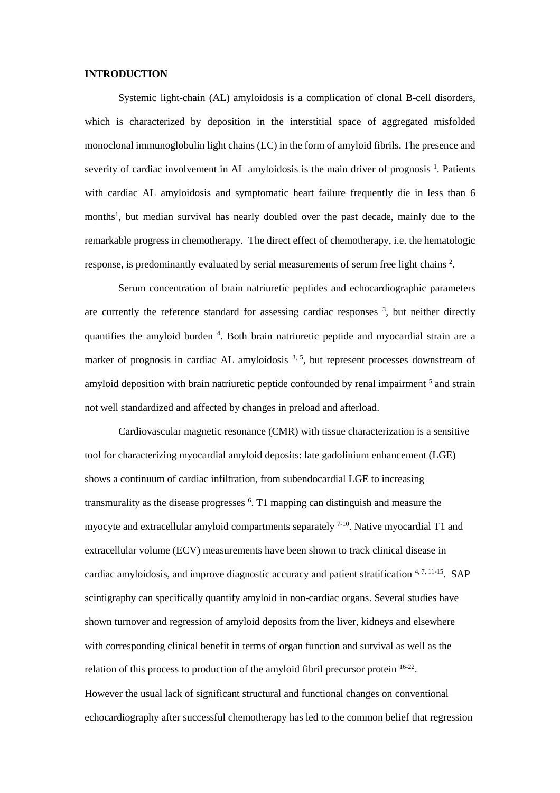#### **INTRODUCTION**

Systemic light-chain (AL) amyloidosis is a complication of clonal B-cell disorders, which is characterized by deposition in the interstitial space of aggregated misfolded monoclonal immunoglobulin light chains (LC) in the form of amyloid fibrils. The presence and severity of cardiac involvement in AL amyloidosis is the main driver of prognosis <sup>1</sup>. Patients with cardiac AL amyloidosis and symptomatic heart failure frequently die in less than 6 months<sup>1</sup>, but median survival has nearly doubled over the past decade, mainly due to the remarkable progress in chemotherapy. The direct effect of chemotherapy, i.e. the hematologic response, is predominantly evaluated by serial measurements of serum free light chains  $2$ .

Serum concentration of brain natriuretic peptides and echocardiographic parameters are currently the reference standard for assessing cardiac responses  $3$ , but neither directly quantifies the amyloid burden <sup>4</sup>. Both brain natriuretic peptide and myocardial strain are a marker of prognosis in cardiac AL amyloidosis <sup>3, 5</sup>, but represent processes downstream of amyloid deposition with brain natriuretic peptide confounded by renal impairment<sup>5</sup> and strain not well standardized and affected by changes in preload and afterload.

Cardiovascular magnetic resonance (CMR) with tissue characterization is a sensitive tool for characterizing myocardial amyloid deposits: late gadolinium enhancement (LGE) shows a continuum of cardiac infiltration, from subendocardial LGE to increasing transmurality as the disease progresses <sup>6</sup>. T1 mapping can distinguish and measure the myocyte and extracellular amyloid compartments separately <sup>7-10</sup>. Native myocardial T1 and extracellular volume (ECV) measurements have been shown to track clinical disease in cardiac amyloidosis, and improve diagnostic accuracy and patient stratification  $4, 7, 11$ -15. SAP scintigraphy can specifically quantify amyloid in non-cardiac organs. Several studies have shown turnover and regression of amyloid deposits from the liver, kidneys and elsewhere with corresponding clinical benefit in terms of organ function and survival as well as the relation of this process to production of the amyloid fibril precursor protein <sup>16-22</sup>. However the usual lack of significant structural and functional changes on conventional echocardiography after successful chemotherapy has led to the common belief that regression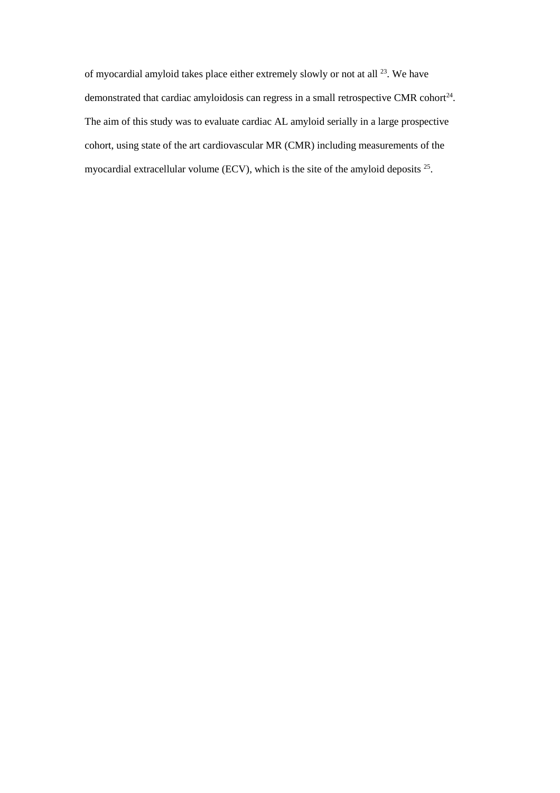of myocardial amyloid takes place either extremely slowly or not at all  $^{23}$ . We have demonstrated that cardiac amyloidosis can regress in a small retrospective CMR cohort $^{24}$ . The aim of this study was to evaluate cardiac AL amyloid serially in a large prospective cohort, using state of the art cardiovascular MR (CMR) including measurements of the myocardial extracellular volume (ECV), which is the site of the amyloid deposits  $2^5$ .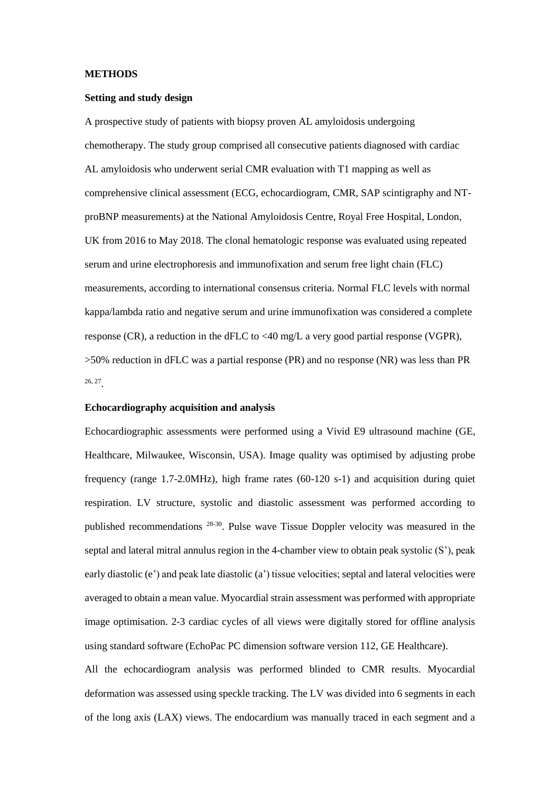#### **METHODS**

# **Setting and study design**

A prospective study of patients with biopsy proven AL amyloidosis undergoing chemotherapy. The study group comprised all consecutive patients diagnosed with cardiac AL amyloidosis who underwent serial CMR evaluation with T1 mapping as well as comprehensive clinical assessment (ECG, echocardiogram, CMR, SAP scintigraphy and NTproBNP measurements) at the National Amyloidosis Centre, Royal Free Hospital, London, UK from 2016 to May 2018. The clonal hematologic response was evaluated using repeated serum and urine electrophoresis and immunofixation and serum free light chain (FLC) measurements, according to international consensus criteria. Normal FLC levels with normal kappa/lambda ratio and negative serum and urine immunofixation was considered a complete response (CR), a reduction in the dFLC to  $\langle 40 \text{ mg/L}$  a very good partial response (VGPR), >50% reduction in dFLC was a partial response (PR) and no response (NR) was less than PR 26, 27 .

## **Echocardiography acquisition and analysis**

Echocardiographic assessments were performed using a Vivid E9 ultrasound machine (GE, Healthcare, Milwaukee, Wisconsin, USA). Image quality was optimised by adjusting probe frequency (range 1.7-2.0MHz), high frame rates (60-120 s-1) and acquisition during quiet respiration. LV structure, systolic and diastolic assessment was performed according to published recommendations <sup>28-30</sup>. Pulse wave Tissue Doppler velocity was measured in the septal and lateral mitral annulus region in the 4-chamber view to obtain peak systolic (S'), peak early diastolic (e') and peak late diastolic (a') tissue velocities; septal and lateral velocities were averaged to obtain a mean value. Myocardial strain assessment was performed with appropriate image optimisation. 2-3 cardiac cycles of all views were digitally stored for offline analysis using standard software (EchoPac PC dimension software version 112, GE Healthcare).

All the echocardiogram analysis was performed blinded to CMR results. Myocardial deformation was assessed using speckle tracking. The LV was divided into 6 segments in each of the long axis (LAX) views. The endocardium was manually traced in each segment and a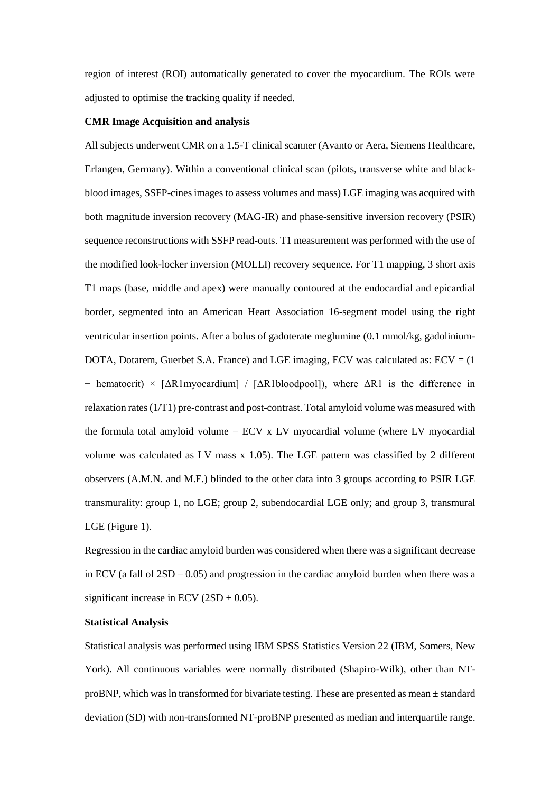region of interest (ROI) automatically generated to cover the myocardium. The ROIs were adjusted to optimise the tracking quality if needed.

#### **CMR Image Acquisition and analysis**

All subjects underwent CMR on a 1.5-T clinical scanner (Avanto or Aera, Siemens Healthcare, Erlangen, Germany). Within a conventional clinical scan (pilots, transverse white and blackblood images, SSFP-cines images to assess volumes and mass) LGE imaging was acquired with both magnitude inversion recovery (MAG-IR) and phase-sensitive inversion recovery (PSIR) sequence reconstructions with SSFP read-outs. T1 measurement was performed with the use of the modified look-locker inversion (MOLLI) recovery sequence. For T1 mapping, 3 short axis T1 maps (base, middle and apex) were manually contoured at the endocardial and epicardial border, segmented into an American Heart Association 16-segment model using the right ventricular insertion points. After a bolus of gadoterate meglumine (0.1 mmol/kg, gadolinium-DOTA, Dotarem, Guerbet S.A. France) and LGE imaging, ECV was calculated as:  $ECV = (1$ − hematocrit) × [ΔR1myocardium] / [ΔR1bloodpool]), where ΔR1 is the difference in relaxation rates (1/T1) pre-contrast and post-contrast. Total amyloid volume was measured with the formula total amyloid volume =  $ECV$  x LV myocardial volume (where LV myocardial volume was calculated as LV mass x 1.05). The LGE pattern was classified by 2 different observers (A.M.N. and M.F.) blinded to the other data into 3 groups according to PSIR LGE transmurality: group 1, no LGE; group 2, subendocardial LGE only; and group 3, transmural LGE (Figure 1).

Regression in the cardiac amyloid burden was considered when there was a significant decrease in ECV (a fall of  $2SD - 0.05$ ) and progression in the cardiac amyloid burden when there was a significant increase in ECV  $(2SD + 0.05)$ .

#### **Statistical Analysis**

Statistical analysis was performed using IBM SPSS Statistics Version 22 (IBM, Somers, New York). All continuous variables were normally distributed (Shapiro-Wilk), other than NTproBNP, which was ln transformed for bivariate testing. These are presented as mean  $\pm$  standard deviation (SD) with non-transformed NT-proBNP presented as median and interquartile range.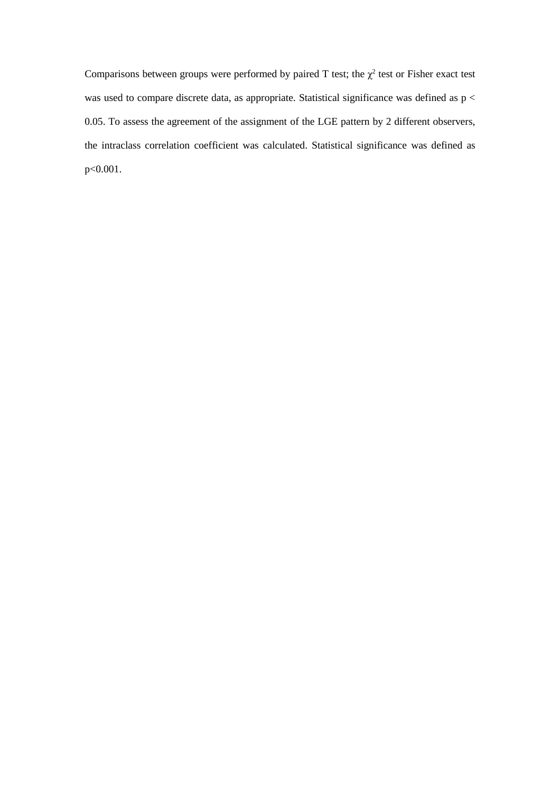Comparisons between groups were performed by paired T test; the  $\chi^2$  test or Fisher exact test was used to compare discrete data, as appropriate. Statistical significance was defined as p < 0.05. To assess the agreement of the assignment of the LGE pattern by 2 different observers, the intraclass correlation coefficient was calculated. Statistical significance was defined as p<0.001.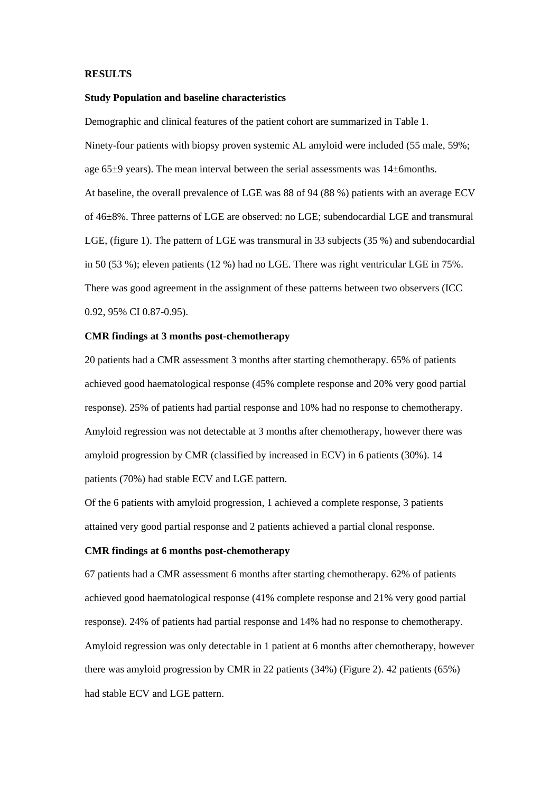#### **RESULTS**

#### **Study Population and baseline characteristics**

Demographic and clinical features of the patient cohort are summarized in Table 1. Ninety-four patients with biopsy proven systemic AL amyloid were included (55 male, 59%; age  $65\pm9$  years). The mean interval between the serial assessments was  $14\pm6$ months. At baseline, the overall prevalence of LGE was 88 of 94 (88 %) patients with an average ECV of 46±8%. Three patterns of LGE are observed: no LGE; subendocardial LGE and transmural LGE, (figure 1). The pattern of LGE was transmural in 33 subjects (35 %) and subendocardial in 50 (53 %); eleven patients (12 %) had no LGE. There was right ventricular LGE in 75%. There was good agreement in the assignment of these patterns between two observers (ICC 0.92, 95% CI 0.87-0.95).

### **CMR findings at 3 months post-chemotherapy**

20 patients had a CMR assessment 3 months after starting chemotherapy. 65% of patients achieved good haematological response (45% complete response and 20% very good partial response). 25% of patients had partial response and 10% had no response to chemotherapy. Amyloid regression was not detectable at 3 months after chemotherapy, however there was amyloid progression by CMR (classified by increased in ECV) in 6 patients (30%). 14 patients (70%) had stable ECV and LGE pattern.

Of the 6 patients with amyloid progression, 1 achieved a complete response, 3 patients attained very good partial response and 2 patients achieved a partial clonal response.

## **CMR findings at 6 months post-chemotherapy**

67 patients had a CMR assessment 6 months after starting chemotherapy. 62% of patients achieved good haematological response (41% complete response and 21% very good partial response). 24% of patients had partial response and 14% had no response to chemotherapy. Amyloid regression was only detectable in 1 patient at 6 months after chemotherapy, however there was amyloid progression by CMR in 22 patients (34%) (Figure 2). 42 patients (65%) had stable ECV and LGE pattern.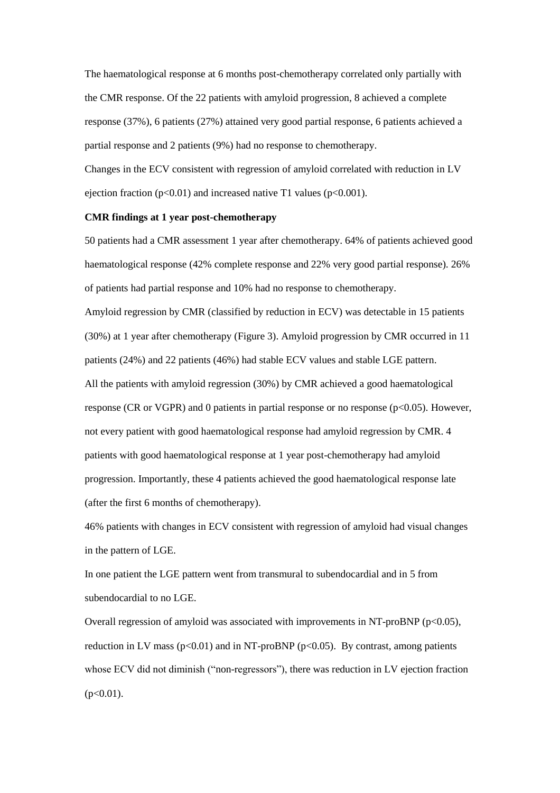The haematological response at 6 months post-chemotherapy correlated only partially with the CMR response. Of the 22 patients with amyloid progression, 8 achieved a complete response (37%), 6 patients (27%) attained very good partial response, 6 patients achieved a partial response and 2 patients (9%) had no response to chemotherapy.

Changes in the ECV consistent with regression of amyloid correlated with reduction in LV ejection fraction ( $p<0.01$ ) and increased native T1 values ( $p<0.001$ ).

#### **CMR findings at 1 year post-chemotherapy**

50 patients had a CMR assessment 1 year after chemotherapy. 64% of patients achieved good haematological response (42% complete response and 22% very good partial response). 26% of patients had partial response and 10% had no response to chemotherapy. Amyloid regression by CMR (classified by reduction in ECV) was detectable in 15 patients (30%) at 1 year after chemotherapy (Figure 3). Amyloid progression by CMR occurred in 11 patients (24%) and 22 patients (46%) had stable ECV values and stable LGE pattern. All the patients with amyloid regression (30%) by CMR achieved a good haematological response (CR or VGPR) and 0 patients in partial response or no response ( $p<0.05$ ). However, not every patient with good haematological response had amyloid regression by CMR. 4 patients with good haematological response at 1 year post-chemotherapy had amyloid progression. Importantly, these 4 patients achieved the good haematological response late

(after the first 6 months of chemotherapy).

46% patients with changes in ECV consistent with regression of amyloid had visual changes in the pattern of LGE.

In one patient the LGE pattern went from transmural to subendocardial and in 5 from subendocardial to no LGE.

Overall regression of amyloid was associated with improvements in NT-proBNP ( $p<0.05$ ), reduction in LV mass ( $p<0.01$ ) and in NT-proBNP ( $p<0.05$ ). By contrast, among patients whose ECV did not diminish ("non-regressors"), there was reduction in LV ejection fraction  $(p<0.01)$ .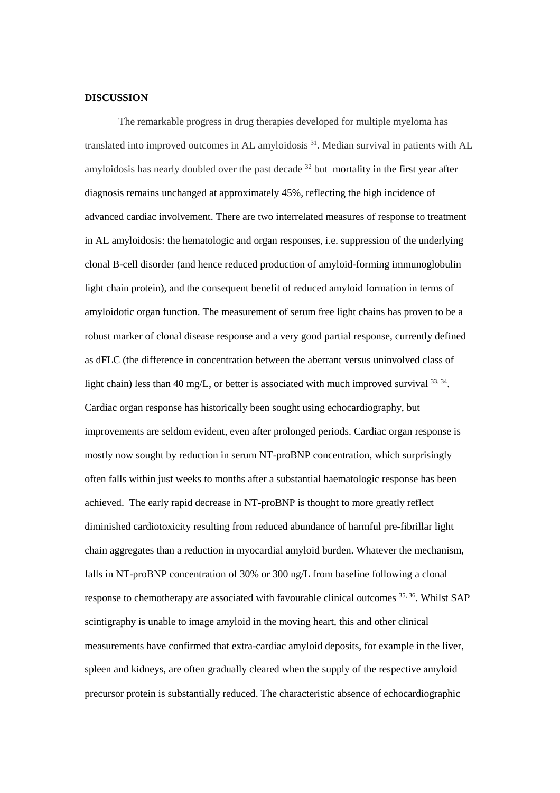# **DISCUSSION**

The remarkable progress in drug therapies developed for multiple myeloma has translated into improved outcomes in AL amyloidosis<sup>31</sup>. Median survival in patients with AL amyloidosis has nearly doubled over the past decade  $32$  but mortality in the first year after diagnosis remains unchanged at approximately 45%, reflecting the high incidence of advanced cardiac involvement. There are two interrelated measures of response to treatment in AL amyloidosis: the hematologic and organ responses, i.e. suppression of the underlying clonal B-cell disorder (and hence reduced production of amyloid-forming immunoglobulin light chain protein), and the consequent benefit of reduced amyloid formation in terms of amyloidotic organ function. The measurement of serum free light chains has proven to be a robust marker of clonal disease response and a very good partial response, currently defined as dFLC (the difference in concentration between the aberrant versus uninvolved class of light chain) less than 40 mg/L, or better is associated with much improved survival  $^{33, 34}$ . Cardiac organ response has historically been sought using echocardiography, but improvements are seldom evident, even after prolonged periods. Cardiac organ response is mostly now sought by reduction in serum NT-proBNP concentration, which surprisingly often falls within just weeks to months after a substantial haematologic response has been achieved. The early rapid decrease in NT-proBNP is thought to more greatly reflect diminished cardiotoxicity resulting from reduced abundance of harmful pre-fibrillar light chain aggregates than a reduction in myocardial amyloid burden. Whatever the mechanism, falls in NT-proBNP concentration of 30% or 300 ng/L from baseline following a clonal response to chemotherapy are associated with favourable clinical outcomes <sup>35, 36</sup>. Whilst SAP scintigraphy is unable to image amyloid in the moving heart, this and other clinical measurements have confirmed that extra-cardiac amyloid deposits, for example in the liver, spleen and kidneys, are often gradually cleared when the supply of the respective amyloid precursor protein is substantially reduced. The characteristic absence of echocardiographic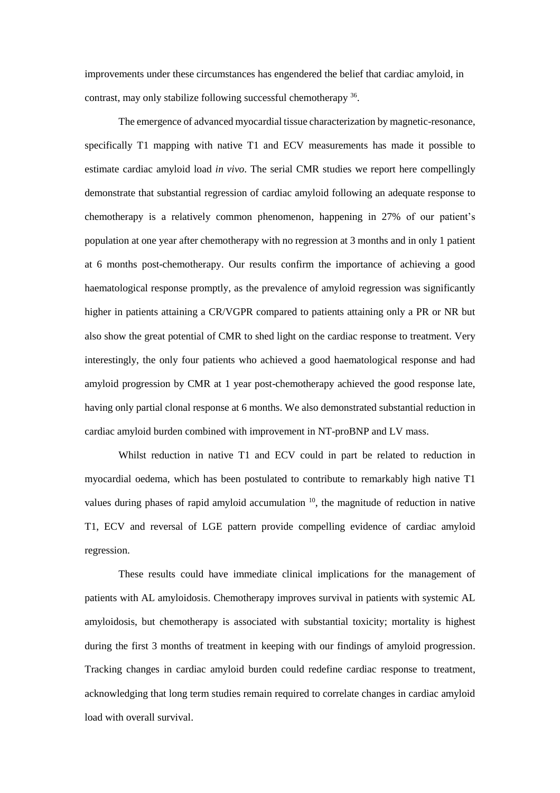improvements under these circumstances has engendered the belief that cardiac amyloid, in contrast, may only stabilize following successful chemotherapy <sup>36</sup>.

The emergence of advanced myocardial tissue characterization by magnetic-resonance, specifically T1 mapping with native T1 and ECV measurements has made it possible to estimate cardiac amyloid load *in vivo*. The serial CMR studies we report here compellingly demonstrate that substantial regression of cardiac amyloid following an adequate response to chemotherapy is a relatively common phenomenon, happening in 27% of our patient's population at one year after chemotherapy with no regression at 3 months and in only 1 patient at 6 months post-chemotherapy. Our results confirm the importance of achieving a good haematological response promptly, as the prevalence of amyloid regression was significantly higher in patients attaining a CR/VGPR compared to patients attaining only a PR or NR but also show the great potential of CMR to shed light on the cardiac response to treatment. Very interestingly, the only four patients who achieved a good haematological response and had amyloid progression by CMR at 1 year post-chemotherapy achieved the good response late, having only partial clonal response at 6 months. We also demonstrated substantial reduction in cardiac amyloid burden combined with improvement in NT-proBNP and LV mass.

Whilst reduction in native T1 and ECV could in part be related to reduction in myocardial oedema, which has been postulated to contribute to remarkably high native T1 values during phases of rapid amyloid accumulation  $10$ , the magnitude of reduction in native T1, ECV and reversal of LGE pattern provide compelling evidence of cardiac amyloid regression.

These results could have immediate clinical implications for the management of patients with AL amyloidosis. Chemotherapy improves survival in patients with systemic AL amyloidosis, but chemotherapy is associated with substantial toxicity; mortality is highest during the first 3 months of treatment in keeping with our findings of amyloid progression. Tracking changes in cardiac amyloid burden could redefine cardiac response to treatment, acknowledging that long term studies remain required to correlate changes in cardiac amyloid load with overall survival.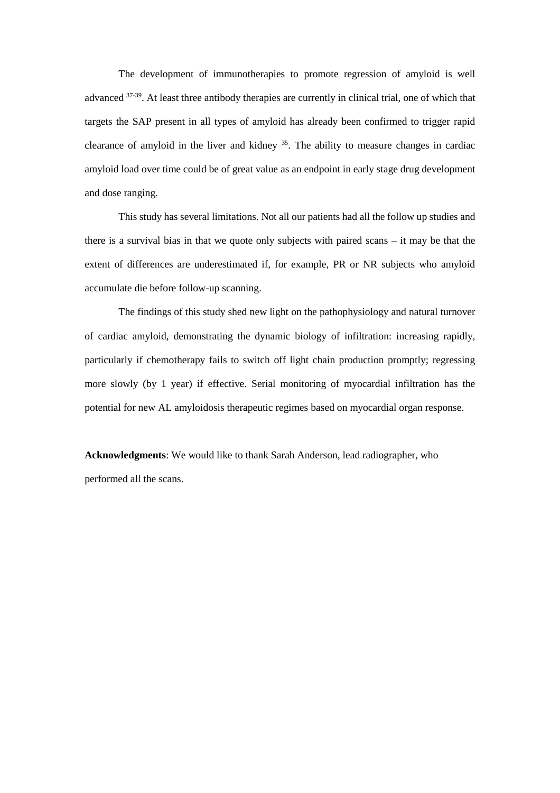The development of immunotherapies to promote regression of amyloid is well advanced <sup>37-39</sup>. At least three antibody therapies are currently in clinical trial, one of which that targets the SAP present in all types of amyloid has already been confirmed to trigger rapid clearance of amyloid in the liver and kidney  $35$ . The ability to measure changes in cardiac amyloid load over time could be of great value as an endpoint in early stage drug development and dose ranging.

This study has several limitations. Not all our patients had all the follow up studies and there is a survival bias in that we quote only subjects with paired scans – it may be that the extent of differences are underestimated if, for example, PR or NR subjects who amyloid accumulate die before follow-up scanning.

The findings of this study shed new light on the pathophysiology and natural turnover of cardiac amyloid, demonstrating the dynamic biology of infiltration: increasing rapidly, particularly if chemotherapy fails to switch off light chain production promptly; regressing more slowly (by 1 year) if effective. Serial monitoring of myocardial infiltration has the potential for new AL amyloidosis therapeutic regimes based on myocardial organ response.

**Acknowledgments**: We would like to thank Sarah Anderson, lead radiographer, who performed all the scans.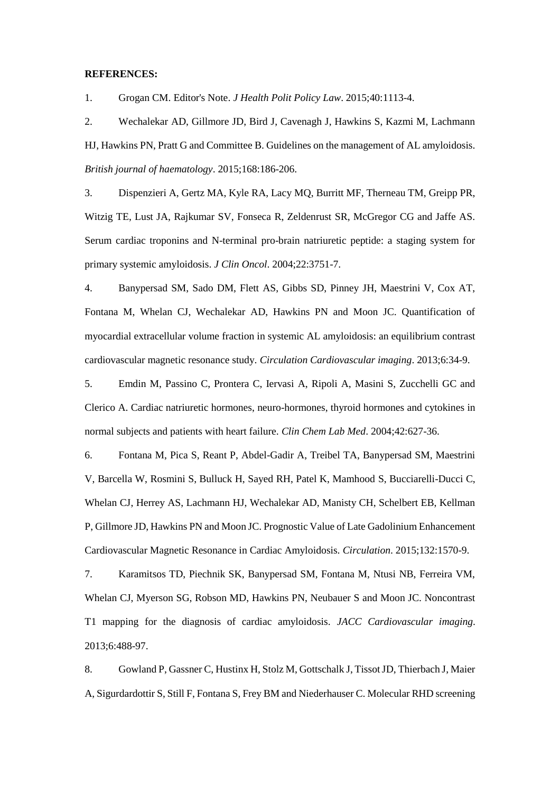#### **REFERENCES:**

1. Grogan CM. Editor's Note. *J Health Polit Policy Law*. 2015;40:1113-4.

2. Wechalekar AD, Gillmore JD, Bird J, Cavenagh J, Hawkins S, Kazmi M, Lachmann HJ, Hawkins PN, Pratt G and Committee B. Guidelines on the management of AL amyloidosis. *British journal of haematology*. 2015;168:186-206.

3. Dispenzieri A, Gertz MA, Kyle RA, Lacy MQ, Burritt MF, Therneau TM, Greipp PR, Witzig TE, Lust JA, Rajkumar SV, Fonseca R, Zeldenrust SR, McGregor CG and Jaffe AS. Serum cardiac troponins and N-terminal pro-brain natriuretic peptide: a staging system for primary systemic amyloidosis. *J Clin Oncol*. 2004;22:3751-7.

4. Banypersad SM, Sado DM, Flett AS, Gibbs SD, Pinney JH, Maestrini V, Cox AT, Fontana M, Whelan CJ, Wechalekar AD, Hawkins PN and Moon JC. Quantification of myocardial extracellular volume fraction in systemic AL amyloidosis: an equilibrium contrast cardiovascular magnetic resonance study. *Circulation Cardiovascular imaging*. 2013;6:34-9.

5. Emdin M, Passino C, Prontera C, Iervasi A, Ripoli A, Masini S, Zucchelli GC and Clerico A. Cardiac natriuretic hormones, neuro-hormones, thyroid hormones and cytokines in normal subjects and patients with heart failure. *Clin Chem Lab Med*. 2004;42:627-36.

6. Fontana M, Pica S, Reant P, Abdel-Gadir A, Treibel TA, Banypersad SM, Maestrini V, Barcella W, Rosmini S, Bulluck H, Sayed RH, Patel K, Mamhood S, Bucciarelli-Ducci C, Whelan CJ, Herrey AS, Lachmann HJ, Wechalekar AD, Manisty CH, Schelbert EB, Kellman P, Gillmore JD, Hawkins PN and Moon JC. Prognostic Value of Late Gadolinium Enhancement Cardiovascular Magnetic Resonance in Cardiac Amyloidosis. *Circulation*. 2015;132:1570-9.

7. Karamitsos TD, Piechnik SK, Banypersad SM, Fontana M, Ntusi NB, Ferreira VM, Whelan CJ, Myerson SG, Robson MD, Hawkins PN, Neubauer S and Moon JC. Noncontrast T1 mapping for the diagnosis of cardiac amyloidosis. *JACC Cardiovascular imaging*. 2013;6:488-97.

8. Gowland P, Gassner C, Hustinx H, Stolz M, Gottschalk J, Tissot JD, Thierbach J, Maier A, Sigurdardottir S, Still F, Fontana S, Frey BM and Niederhauser C. Molecular RHD screening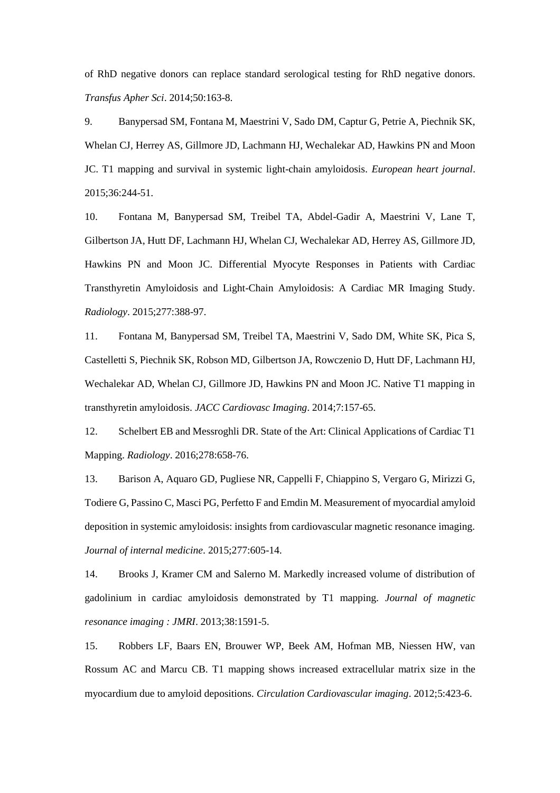of RhD negative donors can replace standard serological testing for RhD negative donors. *Transfus Apher Sci*. 2014;50:163-8.

9. Banypersad SM, Fontana M, Maestrini V, Sado DM, Captur G, Petrie A, Piechnik SK, Whelan CJ, Herrey AS, Gillmore JD, Lachmann HJ, Wechalekar AD, Hawkins PN and Moon JC. T1 mapping and survival in systemic light-chain amyloidosis. *European heart journal*. 2015;36:244-51.

10. Fontana M, Banypersad SM, Treibel TA, Abdel-Gadir A, Maestrini V, Lane T, Gilbertson JA, Hutt DF, Lachmann HJ, Whelan CJ, Wechalekar AD, Herrey AS, Gillmore JD, Hawkins PN and Moon JC. Differential Myocyte Responses in Patients with Cardiac Transthyretin Amyloidosis and Light-Chain Amyloidosis: A Cardiac MR Imaging Study. *Radiology*. 2015;277:388-97.

11. Fontana M, Banypersad SM, Treibel TA, Maestrini V, Sado DM, White SK, Pica S, Castelletti S, Piechnik SK, Robson MD, Gilbertson JA, Rowczenio D, Hutt DF, Lachmann HJ, Wechalekar AD, Whelan CJ, Gillmore JD, Hawkins PN and Moon JC. Native T1 mapping in transthyretin amyloidosis. *JACC Cardiovasc Imaging*. 2014;7:157-65.

12. Schelbert EB and Messroghli DR. State of the Art: Clinical Applications of Cardiac T1 Mapping. *Radiology*. 2016;278:658-76.

13. Barison A, Aquaro GD, Pugliese NR, Cappelli F, Chiappino S, Vergaro G, Mirizzi G, Todiere G, Passino C, Masci PG, Perfetto F and Emdin M. Measurement of myocardial amyloid deposition in systemic amyloidosis: insights from cardiovascular magnetic resonance imaging. *Journal of internal medicine*. 2015;277:605-14.

14. Brooks J, Kramer CM and Salerno M. Markedly increased volume of distribution of gadolinium in cardiac amyloidosis demonstrated by T1 mapping. *Journal of magnetic resonance imaging : JMRI*. 2013;38:1591-5.

15. Robbers LF, Baars EN, Brouwer WP, Beek AM, Hofman MB, Niessen HW, van Rossum AC and Marcu CB. T1 mapping shows increased extracellular matrix size in the myocardium due to amyloid depositions. *Circulation Cardiovascular imaging*. 2012;5:423-6.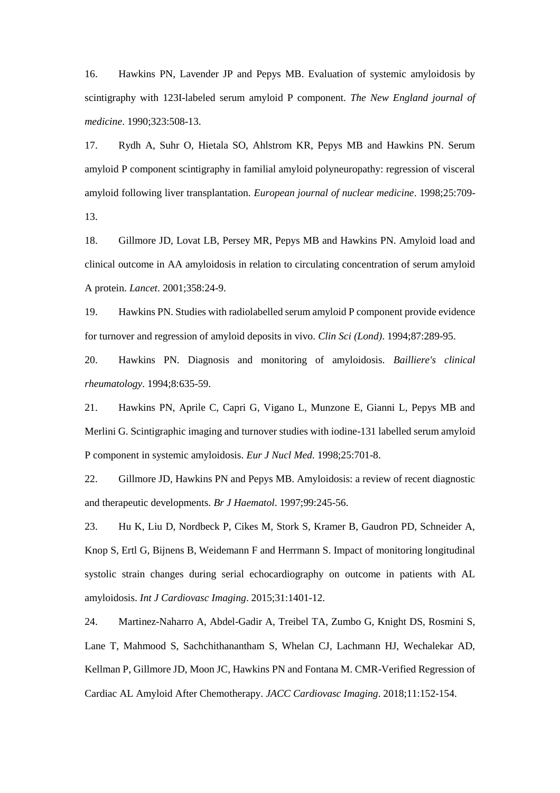16. Hawkins PN, Lavender JP and Pepys MB. Evaluation of systemic amyloidosis by scintigraphy with 123I-labeled serum amyloid P component. *The New England journal of medicine*. 1990;323:508-13.

17. Rydh A, Suhr O, Hietala SO, Ahlstrom KR, Pepys MB and Hawkins PN. Serum amyloid P component scintigraphy in familial amyloid polyneuropathy: regression of visceral amyloid following liver transplantation. *European journal of nuclear medicine*. 1998;25:709- 13.

18. Gillmore JD, Lovat LB, Persey MR, Pepys MB and Hawkins PN. Amyloid load and clinical outcome in AA amyloidosis in relation to circulating concentration of serum amyloid A protein. *Lancet*. 2001;358:24-9.

19. Hawkins PN. Studies with radiolabelled serum amyloid P component provide evidence for turnover and regression of amyloid deposits in vivo. *Clin Sci (Lond)*. 1994;87:289-95.

20. Hawkins PN. Diagnosis and monitoring of amyloidosis. *Bailliere's clinical rheumatology*. 1994;8:635-59.

21. Hawkins PN, Aprile C, Capri G, Vigano L, Munzone E, Gianni L, Pepys MB and Merlini G. Scintigraphic imaging and turnover studies with iodine-131 labelled serum amyloid P component in systemic amyloidosis. *Eur J Nucl Med*. 1998;25:701-8.

22. Gillmore JD, Hawkins PN and Pepys MB. Amyloidosis: a review of recent diagnostic and therapeutic developments. *Br J Haematol*. 1997;99:245-56.

23. Hu K, Liu D, Nordbeck P, Cikes M, Stork S, Kramer B, Gaudron PD, Schneider A, Knop S, Ertl G, Bijnens B, Weidemann F and Herrmann S. Impact of monitoring longitudinal systolic strain changes during serial echocardiography on outcome in patients with AL amyloidosis. *Int J Cardiovasc Imaging*. 2015;31:1401-12.

24. Martinez-Naharro A, Abdel-Gadir A, Treibel TA, Zumbo G, Knight DS, Rosmini S, Lane T, Mahmood S, Sachchithanantham S, Whelan CJ, Lachmann HJ, Wechalekar AD, Kellman P, Gillmore JD, Moon JC, Hawkins PN and Fontana M. CMR-Verified Regression of Cardiac AL Amyloid After Chemotherapy. *JACC Cardiovasc Imaging*. 2018;11:152-154.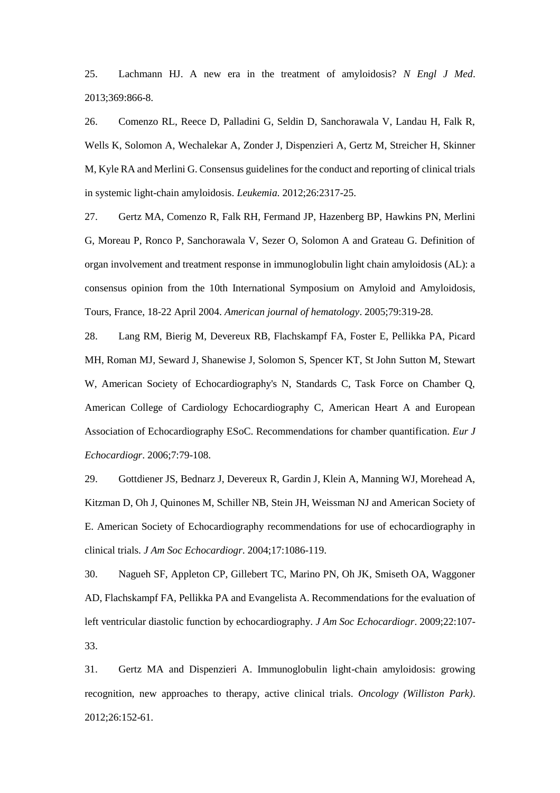25. Lachmann HJ. A new era in the treatment of amyloidosis? *N Engl J Med*. 2013;369:866-8.

26. Comenzo RL, Reece D, Palladini G, Seldin D, Sanchorawala V, Landau H, Falk R, Wells K, Solomon A, Wechalekar A, Zonder J, Dispenzieri A, Gertz M, Streicher H, Skinner M, Kyle RA and Merlini G. Consensus guidelines for the conduct and reporting of clinical trials in systemic light-chain amyloidosis. *Leukemia*. 2012;26:2317-25.

27. Gertz MA, Comenzo R, Falk RH, Fermand JP, Hazenberg BP, Hawkins PN, Merlini G, Moreau P, Ronco P, Sanchorawala V, Sezer O, Solomon A and Grateau G. Definition of organ involvement and treatment response in immunoglobulin light chain amyloidosis (AL): a consensus opinion from the 10th International Symposium on Amyloid and Amyloidosis, Tours, France, 18-22 April 2004. *American journal of hematology*. 2005;79:319-28.

28. Lang RM, Bierig M, Devereux RB, Flachskampf FA, Foster E, Pellikka PA, Picard MH, Roman MJ, Seward J, Shanewise J, Solomon S, Spencer KT, St John Sutton M, Stewart W, American Society of Echocardiography's N, Standards C, Task Force on Chamber Q, American College of Cardiology Echocardiography C, American Heart A and European Association of Echocardiography ESoC. Recommendations for chamber quantification. *Eur J Echocardiogr*. 2006;7:79-108.

29. Gottdiener JS, Bednarz J, Devereux R, Gardin J, Klein A, Manning WJ, Morehead A, Kitzman D, Oh J, Quinones M, Schiller NB, Stein JH, Weissman NJ and American Society of E. American Society of Echocardiography recommendations for use of echocardiography in clinical trials. *J Am Soc Echocardiogr*. 2004;17:1086-119.

30. Nagueh SF, Appleton CP, Gillebert TC, Marino PN, Oh JK, Smiseth OA, Waggoner AD, Flachskampf FA, Pellikka PA and Evangelista A. Recommendations for the evaluation of left ventricular diastolic function by echocardiography. *J Am Soc Echocardiogr*. 2009;22:107- 33.

31. Gertz MA and Dispenzieri A. Immunoglobulin light-chain amyloidosis: growing recognition, new approaches to therapy, active clinical trials. *Oncology (Williston Park)*. 2012;26:152-61.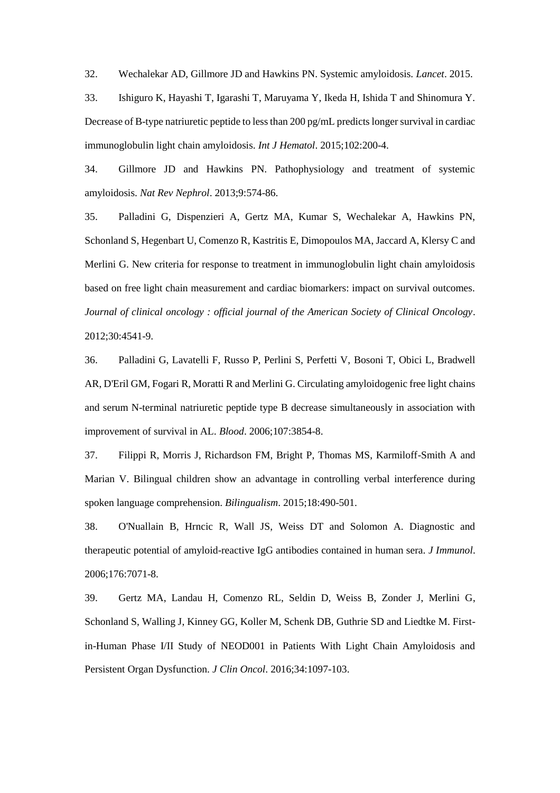32. Wechalekar AD, Gillmore JD and Hawkins PN. Systemic amyloidosis. *Lancet*. 2015.

33. Ishiguro K, Hayashi T, Igarashi T, Maruyama Y, Ikeda H, Ishida T and Shinomura Y. Decrease of B-type natriuretic peptide to less than 200 pg/mL predicts longer survival in cardiac immunoglobulin light chain amyloidosis. *Int J Hematol*. 2015;102:200-4.

34. Gillmore JD and Hawkins PN. Pathophysiology and treatment of systemic amyloidosis. *Nat Rev Nephrol*. 2013;9:574-86.

35. Palladini G, Dispenzieri A, Gertz MA, Kumar S, Wechalekar A, Hawkins PN, Schonland S, Hegenbart U, Comenzo R, Kastritis E, Dimopoulos MA, Jaccard A, Klersy C and Merlini G. New criteria for response to treatment in immunoglobulin light chain amyloidosis based on free light chain measurement and cardiac biomarkers: impact on survival outcomes. *Journal of clinical oncology : official journal of the American Society of Clinical Oncology*. 2012;30:4541-9.

36. Palladini G, Lavatelli F, Russo P, Perlini S, Perfetti V, Bosoni T, Obici L, Bradwell AR, D'Eril GM, Fogari R, Moratti R and Merlini G. Circulating amyloidogenic free light chains and serum N-terminal natriuretic peptide type B decrease simultaneously in association with improvement of survival in AL. *Blood*. 2006;107:3854-8.

37. Filippi R, Morris J, Richardson FM, Bright P, Thomas MS, Karmiloff-Smith A and Marian V. Bilingual children show an advantage in controlling verbal interference during spoken language comprehension. *Bilingualism*. 2015;18:490-501.

38. O'Nuallain B, Hrncic R, Wall JS, Weiss DT and Solomon A. Diagnostic and therapeutic potential of amyloid-reactive IgG antibodies contained in human sera. *J Immunol*. 2006;176:7071-8.

39. Gertz MA, Landau H, Comenzo RL, Seldin D, Weiss B, Zonder J, Merlini G, Schonland S, Walling J, Kinney GG, Koller M, Schenk DB, Guthrie SD and Liedtke M. Firstin-Human Phase I/II Study of NEOD001 in Patients With Light Chain Amyloidosis and Persistent Organ Dysfunction. *J Clin Oncol*. 2016;34:1097-103.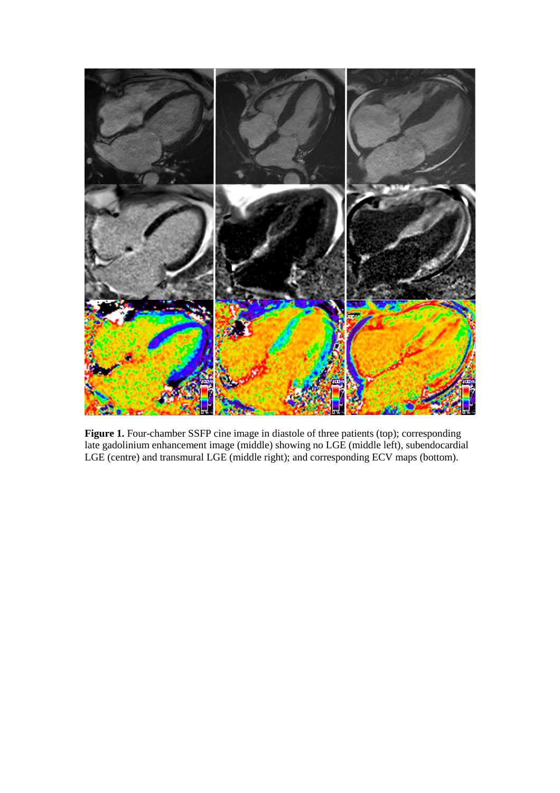

**Figure 1.** Four-chamber SSFP cine image in diastole of three patients (top); corresponding late gadolinium enhancement image (middle) showing no LGE (middle left), subendocardial LGE (centre) and transmural LGE (middle right); and corresponding ECV maps (bottom).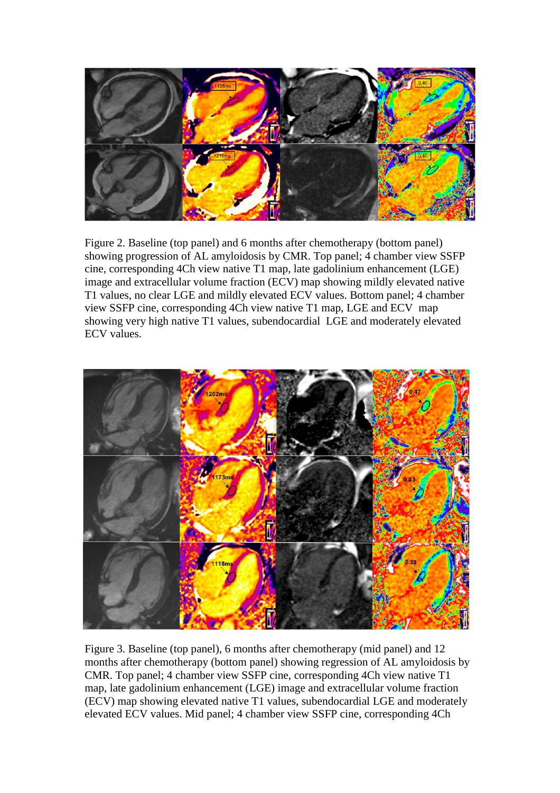

Figure 2. Baseline (top panel) and 6 months after chemotherapy (bottom panel) showing progression of AL amyloidosis by CMR. Top panel; 4 chamber view SSFP cine, corresponding 4Ch view native T1 map, late gadolinium enhancement (LGE) image and extracellular volume fraction (ECV) map showing mildly elevated native T1 values, no clear LGE and mildly elevated ECV values. Bottom panel; 4 chamber view SSFP cine, corresponding 4Ch view native T1 map, LGE and ECV map showing very high native T1 values, subendocardial LGE and moderately elevated ECV values.



Figure 3. Baseline (top panel), 6 months after chemotherapy (mid panel) and 12 months after chemotherapy (bottom panel) showing regression of AL amyloidosis by CMR. Top panel; 4 chamber view SSFP cine, corresponding 4Ch view native T1 map, late gadolinium enhancement (LGE) image and extracellular volume fraction (ECV) map showing elevated native T1 values, subendocardial LGE and moderately elevated ECV values. Mid panel; 4 chamber view SSFP cine, corresponding 4Ch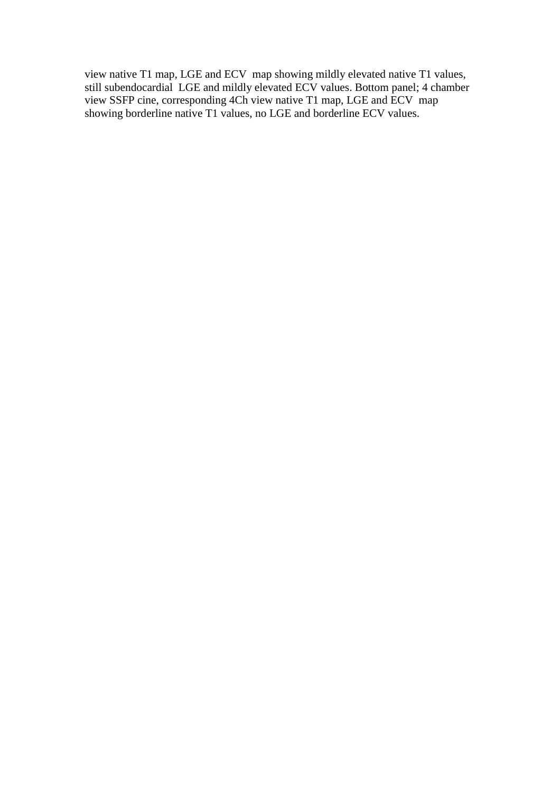view native T1 map, LGE and ECV map showing mildly elevated native T1 values, still subendocardial LGE and mildly elevated ECV values. Bottom panel; 4 chamber view SSFP cine, corresponding 4Ch view native T1 map, LGE and ECV map showing borderline native T1 values, no LGE and borderline ECV values.